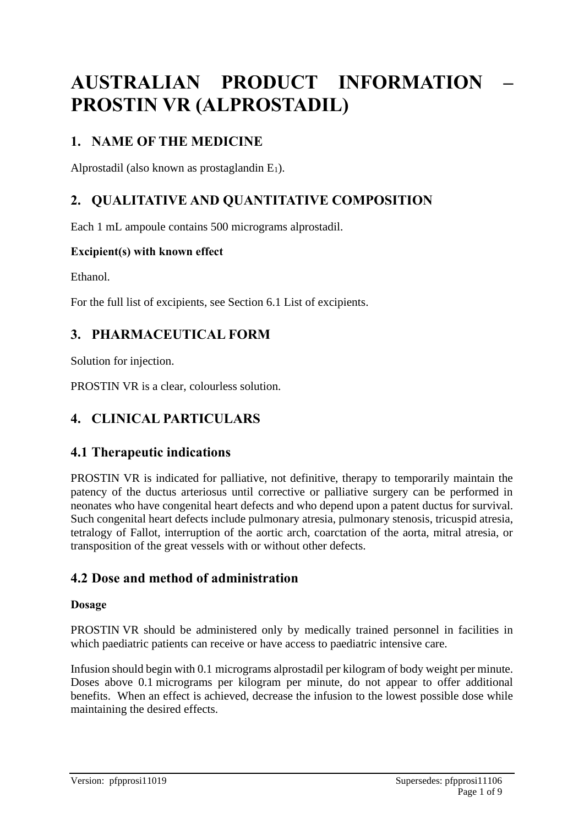# **AUSTRALIAN PRODUCT INFORMATION – PROSTIN VR (ALPROSTADIL)**

# **1. NAME OF THE MEDICINE**

Alprostadil (also known as prostaglandin  $E_1$ ).

# **2. QUALITATIVE AND QUANTITATIVE COMPOSITION**

Each 1 mL ampoule contains 500 micrograms alprostadil.

#### **Excipient(s) with known effect**

Ethanol.

For the full list of excipients, see Section 6.1 List of excipients.

# **3. PHARMACEUTICAL FORM**

Solution for injection.

PROSTIN VR is a clear, colourless solution.

# **4. CLINICAL PARTICULARS**

# **4.1 Therapeutic indications**

PROSTIN VR is indicated for palliative, not definitive, therapy to temporarily maintain the patency of the ductus arteriosus until corrective or palliative surgery can be performed in neonates who have congenital heart defects and who depend upon a patent ductus for survival. Such congenital heart defects include pulmonary atresia, pulmonary stenosis, tricuspid atresia, tetralogy of Fallot, interruption of the aortic arch, coarctation of the aorta, mitral atresia, or transposition of the great vessels with or without other defects.

# **4.2 Dose and method of administration**

#### **Dosage**

PROSTIN VR should be administered only by medically trained personnel in facilities in which paediatric patients can receive or have access to paediatric intensive care.

Infusion should begin with 0.1 micrograms alprostadil per kilogram of body weight per minute. Doses above 0.1 micrograms per kilogram per minute, do not appear to offer additional benefits. When an effect is achieved, decrease the infusion to the lowest possible dose while maintaining the desired effects.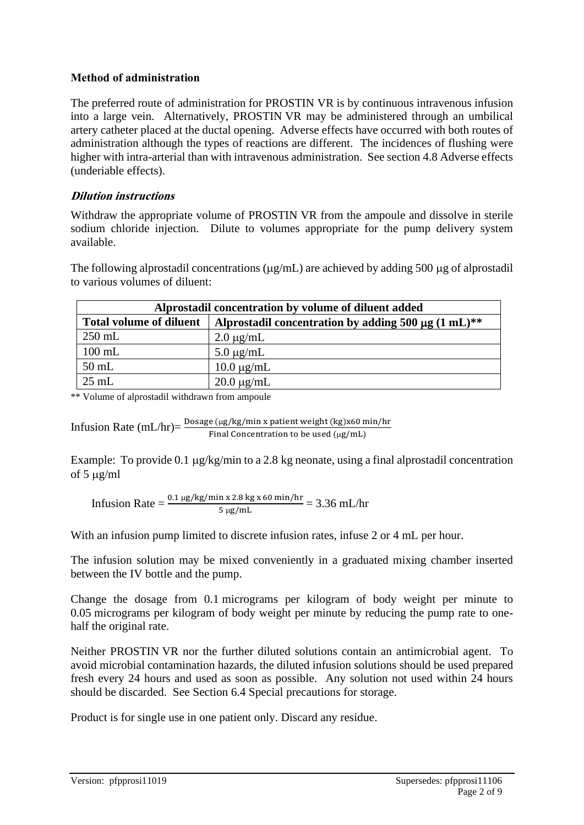#### **Method of administration**

The preferred route of administration for PROSTIN VR is by continuous intravenous infusion into a large vein. Alternatively, PROSTIN VR may be administered through an umbilical artery catheter placed at the ductal opening. Adverse effects have occurred with both routes of administration although the types of reactions are different. The incidences of flushing were higher with intra-arterial than with intravenous administration. See section 4.8 Adverse effects (underiable effects).

#### **Dilution instructions**

Withdraw the appropriate volume of PROSTIN VR from the ampoule and dissolve in sterile sodium chloride injection. Dilute to volumes appropriate for the pump delivery system available.

The following alprostadil concentrations ( $\mu$ g/mL) are achieved by adding 500  $\mu$ g of alprostadil to various volumes of diluent:

| Alprostadil concentration by volume of diluent added |                                                        |  |
|------------------------------------------------------|--------------------------------------------------------|--|
| <b>Total volume of diluent</b>                       | Alprostadil concentration by adding 500 µg $(1 mL)$ ** |  |
| $250$ mL                                             | $2.0 \mu g/mL$                                         |  |
| $100$ mL                                             | $5.0 \mu g/mL$                                         |  |
| $50$ mL                                              | $10.0 \mu g/mL$                                        |  |
| $25$ mL                                              | $20.0 \mu g/mL$                                        |  |

\*\* Volume of alprostadil withdrawn from ampoule

\nInfusion Rate (mL/hr) = \n
$$
\frac{\text{Dosage (µg/kg/min x patient weight (kg)x60 min/hr}}{\text{Final concentration to be used (µg/mL)}}
$$
\n

Example: To provide 0.1  $\mu$ g/kg/min to a 2.8 kg neonate, using a final alprostadil concentration of 5  $\mu$ g/ml

Infusion Rate =  $\frac{0.1 \,\mu\text{g/kg/min x 2.8 kg x 60 min/hr}}{5 \,\mu\text{g/mL}}$  = 3.36 mL/hr

With an infusion pump limited to discrete infusion rates, infuse 2 or 4 mL per hour.

The infusion solution may be mixed conveniently in a graduated mixing chamber inserted between the IV bottle and the pump.

Change the dosage from 0.1 micrograms per kilogram of body weight per minute to 0.05 micrograms per kilogram of body weight per minute by reducing the pump rate to onehalf the original rate.

Neither PROSTIN VR nor the further diluted solutions contain an antimicrobial agent. To avoid microbial contamination hazards, the diluted infusion solutions should be used prepared fresh every 24 hours and used as soon as possible. Any solution not used within 24 hours should be discarded. See Section 6.4 Special precautions for storage.

Product is for single use in one patient only. Discard any residue.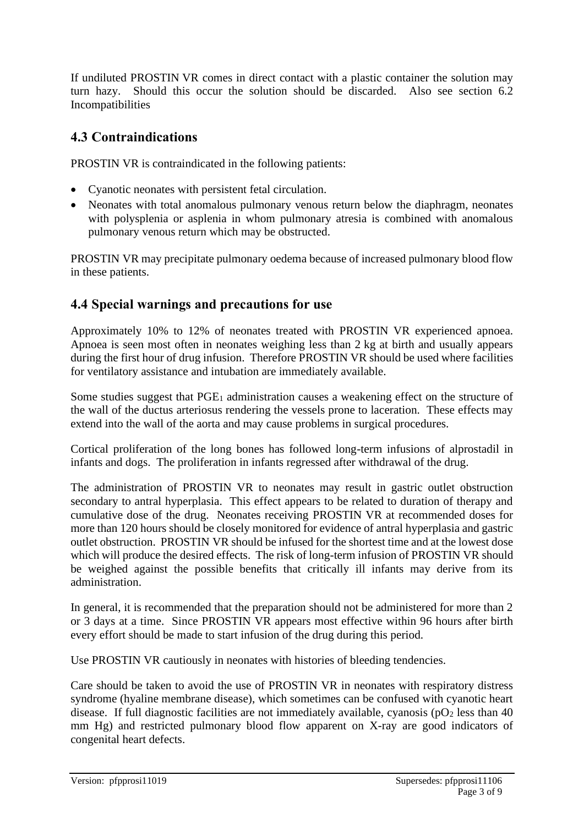If undiluted PROSTIN VR comes in direct contact with a plastic container the solution may turn hazy. Should this occur the solution should be discarded. Also see section 6.2 Incompatibilities

# **4.3 Contraindications**

PROSTIN VR is contraindicated in the following patients:

- Cyanotic neonates with persistent fetal circulation.
- Neonates with total anomalous pulmonary venous return below the diaphragm, neonates with polysplenia or asplenia in whom pulmonary atresia is combined with anomalous pulmonary venous return which may be obstructed.

PROSTIN VR may precipitate pulmonary oedema because of increased pulmonary blood flow in these patients.

# **4.4 Special warnings and precautions for use**

Approximately 10% to 12% of neonates treated with PROSTIN VR experienced apnoea. Apnoea is seen most often in neonates weighing less than 2 kg at birth and usually appears during the first hour of drug infusion. Therefore PROSTIN VR should be used where facilities for ventilatory assistance and intubation are immediately available.

Some studies suggest that PGE<sub>1</sub> administration causes a weakening effect on the structure of the wall of the ductus arteriosus rendering the vessels prone to laceration. These effects may extend into the wall of the aorta and may cause problems in surgical procedures.

Cortical proliferation of the long bones has followed long-term infusions of alprostadil in infants and dogs. The proliferation in infants regressed after withdrawal of the drug.

The administration of PROSTIN VR to neonates may result in gastric outlet obstruction secondary to antral hyperplasia. This effect appears to be related to duration of therapy and cumulative dose of the drug. Neonates receiving PROSTIN VR at recommended doses for more than 120 hours should be closely monitored for evidence of antral hyperplasia and gastric outlet obstruction. PROSTIN VR should be infused for the shortest time and at the lowest dose which will produce the desired effects. The risk of long-term infusion of PROSTIN VR should be weighed against the possible benefits that critically ill infants may derive from its administration.

In general, it is recommended that the preparation should not be administered for more than 2 or 3 days at a time. Since PROSTIN VR appears most effective within 96 hours after birth every effort should be made to start infusion of the drug during this period.

Use PROSTIN VR cautiously in neonates with histories of bleeding tendencies.

Care should be taken to avoid the use of PROSTIN VR in neonates with respiratory distress syndrome (hyaline membrane disease), which sometimes can be confused with cyanotic heart disease. If full diagnostic facilities are not immediately available, cyanosis ( $pO<sub>2</sub>$  less than 40 mm Hg) and restricted pulmonary blood flow apparent on X-ray are good indicators of congenital heart defects.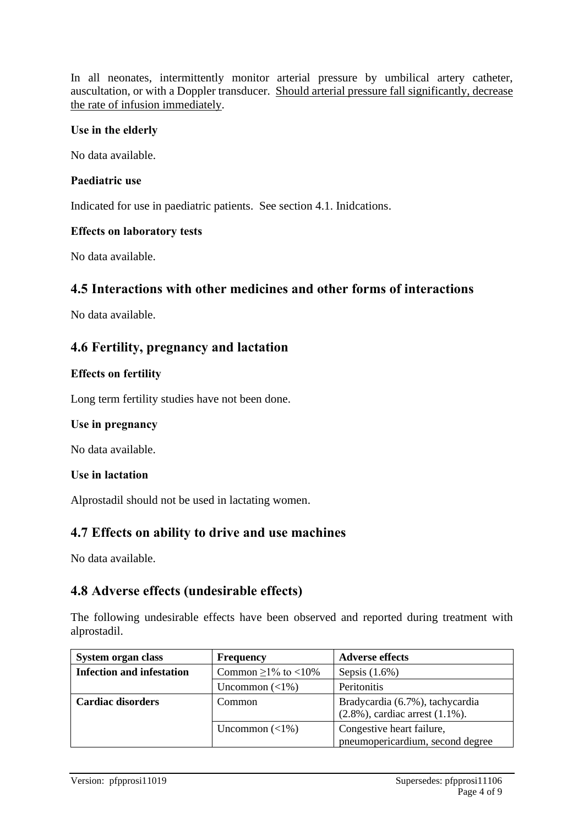In all neonates, intermittently monitor arterial pressure by umbilical artery catheter, auscultation, or with a Doppler transducer. Should arterial pressure fall significantly, decrease the rate of infusion immediately.

#### **Use in the elderly**

No data available.

#### **Paediatric use**

Indicated for use in paediatric patients. See section 4.1. Inidcations.

#### **Effects on laboratory tests**

No data available.

### **4.5 Interactions with other medicines and other forms of interactions**

No data available.

### **4.6 Fertility, pregnancy and lactation**

#### **Effects on fertility**

Long term fertility studies have not been done.

#### **Use in pregnancy**

No data available.

#### **Use in lactation**

Alprostadil should not be used in lactating women.

#### **4.7 Effects on ability to drive and use machines**

No data available.

#### **4.8 Adverse effects (undesirable effects)**

The following undesirable effects have been observed and reported during treatment with alprostadil.

| <b>System organ class</b>        | <b>Frequency</b>          | <b>Adverse effects</b>                                                    |
|----------------------------------|---------------------------|---------------------------------------------------------------------------|
| <b>Infection and infestation</b> | Common $\geq$ 1% to <10%  | Sepsis $(1.6\%)$                                                          |
|                                  | Uncommon $(\langle 1\% )$ | Peritonitis                                                               |
| <b>Cardiac disorders</b>         | Common                    | Bradycardia (6.7%), tachycardia<br>$(2.8\%)$ , cardiac arrest $(1.1\%)$ . |
|                                  | Uncommon $(\langle 1\% )$ | Congestive heart failure,<br>pneumopericardium, second degree             |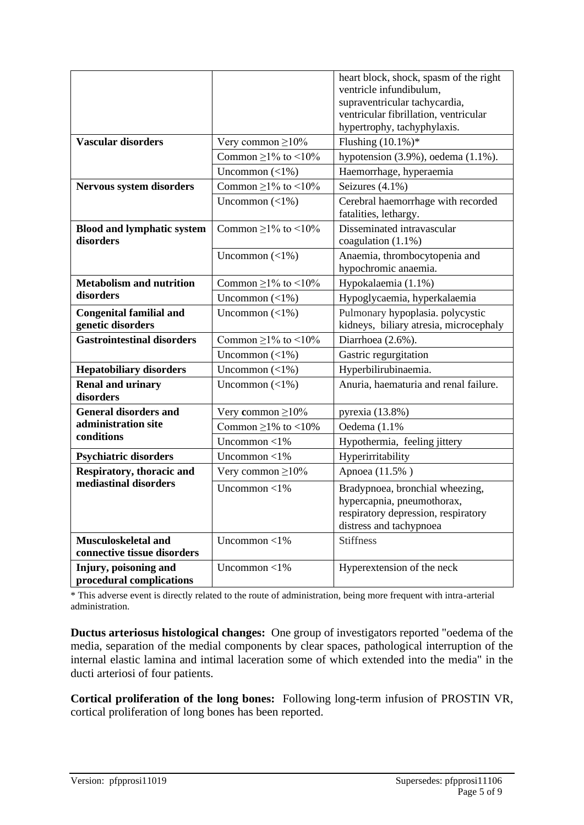|                                                     |                           | heart block, shock, spasm of the right                                                                                          |
|-----------------------------------------------------|---------------------------|---------------------------------------------------------------------------------------------------------------------------------|
|                                                     |                           | ventricle infundibulum,                                                                                                         |
|                                                     |                           | supraventricular tachycardia,                                                                                                   |
|                                                     |                           | ventricular fibrillation, ventricular                                                                                           |
|                                                     |                           | hypertrophy, tachyphylaxis.                                                                                                     |
| <b>Vascular disorders</b>                           | Very common $\geq$ 10%    | Flushing $(10.1\%)*$                                                                                                            |
|                                                     | Common $\geq$ 1% to <10%  | hypotension $(3.9\%)$ , oedema $(1.1\%)$ .                                                                                      |
|                                                     | Uncommon $(\langle 1\% )$ | Haemorrhage, hyperaemia                                                                                                         |
| <b>Nervous system disorders</b>                     | Common $\geq$ 1% to <10%  | Seizures (4.1%)                                                                                                                 |
|                                                     | Uncommon $(\langle 1\% )$ | Cerebral haemorrhage with recorded<br>fatalities, lethargy.                                                                     |
| <b>Blood and lymphatic system</b><br>disorders      | Common $\geq$ 1% to <10%  | Disseminated intravascular<br>coagulation (1.1%)                                                                                |
|                                                     | Uncommon $(\langle 1\% )$ | Anaemia, thrombocytopenia and<br>hypochromic anaemia.                                                                           |
| <b>Metabolism and nutrition</b>                     | Common $\geq$ 1% to <10%  | Hypokalaemia (1.1%)                                                                                                             |
| disorders                                           | Uncommon $(\langle 1\% )$ | Hypoglycaemia, hyperkalaemia                                                                                                    |
| <b>Congenital familial and</b><br>genetic disorders | Uncommon $(\langle 1\% )$ | Pulmonary hypoplasia. polycystic<br>kidneys, biliary atresia, microcephaly                                                      |
| <b>Gastrointestinal disorders</b>                   | Common $\geq$ 1% to <10%  | Diarrhoea (2.6%).                                                                                                               |
|                                                     | Uncommon $(\langle 1\% )$ | Gastric regurgitation                                                                                                           |
| <b>Hepatobiliary disorders</b>                      | Uncommon $(\langle 1\% )$ | Hyperbilirubinaemia.                                                                                                            |
| <b>Renal and urinary</b><br>disorders               | Uncommon $(\langle 1\% )$ | Anuria, haematuria and renal failure.                                                                                           |
| <b>General disorders and</b>                        | Very common $\geq$ 10%    | pyrexia (13.8%)                                                                                                                 |
| administration site                                 | Common $\geq$ 1% to <10%  | Oedema (1.1%)                                                                                                                   |
| conditions                                          | Uncommon $<$ 1%           | Hypothermia, feeling jittery                                                                                                    |
| <b>Psychiatric disorders</b>                        | Uncommon $<$ 1%           | Hyperirritability                                                                                                               |
| Respiratory, thoracic and                           | Very common $\geq$ 10%    | Apnoea (11.5%)                                                                                                                  |
| mediastinal disorders                               | Uncommon $<$ 1%           | Bradypnoea, bronchial wheezing,<br>hypercapnia, pneumothorax,<br>respiratory depression, respiratory<br>distress and tachypnoea |
| Musculoskeletal and<br>connective tissue disorders  | Uncommon $<$ 1%           | <b>Stiffness</b>                                                                                                                |
| Injury, poisoning and<br>procedural complications   | Uncommon $<$ 1%           | Hyperextension of the neck                                                                                                      |

\* This adverse event is directly related to the route of administration, being more frequent with intra-arterial administration.

**Ductus arteriosus histological changes:** One group of investigators reported "oedema of the media, separation of the medial components by clear spaces, pathological interruption of the internal elastic lamina and intimal laceration some of which extended into the media" in the ducti arteriosi of four patients.

**Cortical proliferation of the long bones:** Following long-term infusion of PROSTIN VR, cortical proliferation of long bones has been reported.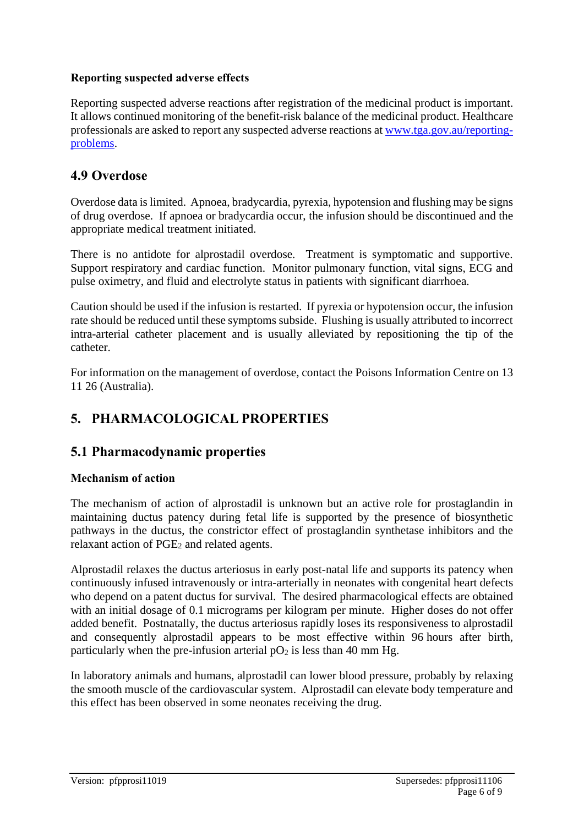#### **Reporting suspected adverse effects**

Reporting suspected adverse reactions after registration of the medicinal product is important. It allows continued monitoring of the benefit-risk balance of the medicinal product. Healthcare professionals are asked to report any suspected adverse reactions at [www.tga.gov.au/reporting](http://www.tga.gov.au/reporting-problems)[problems.](http://www.tga.gov.au/reporting-problems)

### **4.9 Overdose**

Overdose data is limited. Apnoea, bradycardia, pyrexia, hypotension and flushing may be signs of drug overdose. If apnoea or bradycardia occur, the infusion should be discontinued and the appropriate medical treatment initiated.

There is no antidote for alprostadil overdose. Treatment is symptomatic and supportive. Support respiratory and cardiac function. Monitor pulmonary function, vital signs, ECG and pulse oximetry, and fluid and electrolyte status in patients with significant diarrhoea.

Caution should be used if the infusion is restarted. If pyrexia or hypotension occur, the infusion rate should be reduced until these symptoms subside. Flushing is usually attributed to incorrect intra-arterial catheter placement and is usually alleviated by repositioning the tip of the catheter.

For information on the management of overdose, contact the Poisons Information Centre on 13 11 26 (Australia).

# **5. PHARMACOLOGICAL PROPERTIES**

### **5.1 Pharmacodynamic properties**

#### **Mechanism of action**

The mechanism of action of alprostadil is unknown but an active role for prostaglandin in maintaining ductus patency during fetal life is supported by the presence of biosynthetic pathways in the ductus, the constrictor effect of prostaglandin synthetase inhibitors and the relaxant action of PGE<sub>2</sub> and related agents.

Alprostadil relaxes the ductus arteriosus in early post-natal life and supports its patency when continuously infused intravenously or intra-arterially in neonates with congenital heart defects who depend on a patent ductus for survival. The desired pharmacological effects are obtained with an initial dosage of 0.1 micrograms per kilogram per minute. Higher doses do not offer added benefit. Postnatally, the ductus arteriosus rapidly loses its responsiveness to alprostadil and consequently alprostadil appears to be most effective within 96 hours after birth, particularly when the pre-infusion arterial  $pO<sub>2</sub>$  is less than 40 mm Hg.

In laboratory animals and humans, alprostadil can lower blood pressure, probably by relaxing the smooth muscle of the cardiovascular system. Alprostadil can elevate body temperature and this effect has been observed in some neonates receiving the drug.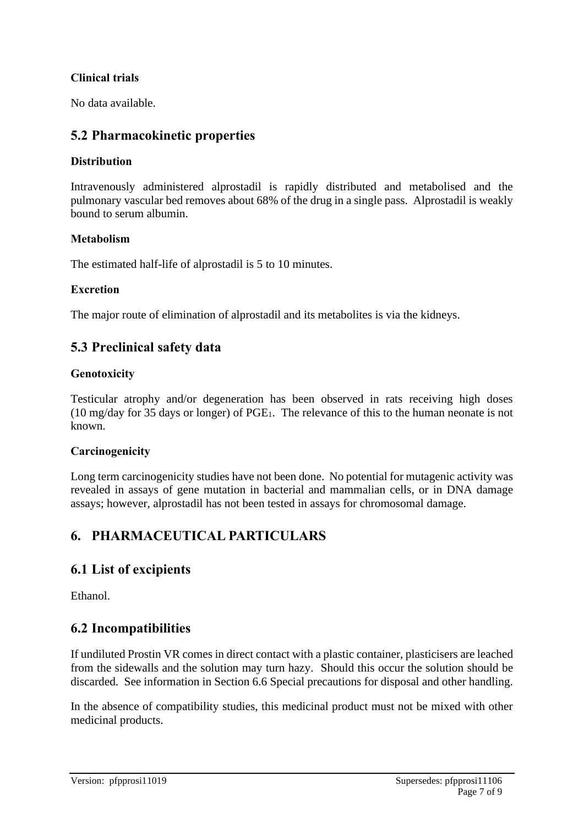#### **Clinical trials**

No data available.

### **5.2 Pharmacokinetic properties**

#### **Distribution**

Intravenously administered alprostadil is rapidly distributed and metabolised and the pulmonary vascular bed removes about 68% of the drug in a single pass. Alprostadil is weakly bound to serum albumin.

#### **Metabolism**

The estimated half-life of alprostadil is 5 to 10 minutes.

#### **Excretion**

The major route of elimination of alprostadil and its metabolites is via the kidneys.

# **5.3 Preclinical safety data**

#### **Genotoxicity**

Testicular atrophy and/or degeneration has been observed in rats receiving high doses (10 mg/day for 35 days or longer) of PGE1. The relevance of this to the human neonate is not known.

#### **Carcinogenicity**

Long term carcinogenicity studies have not been done. No potential for mutagenic activity was revealed in assays of gene mutation in bacterial and mammalian cells, or in DNA damage assays; however, alprostadil has not been tested in assays for chromosomal damage.

# **6. PHARMACEUTICAL PARTICULARS**

### **6.1 List of excipients**

Ethanol.

# **6.2 Incompatibilities**

If undiluted Prostin VR comes in direct contact with a plastic container, plasticisers are leached from the sidewalls and the solution may turn hazy. Should this occur the solution should be discarded. See information in Section 6.6 Special precautions for disposal and other handling.

In the absence of compatibility studies, this medicinal product must not be mixed with other medicinal products.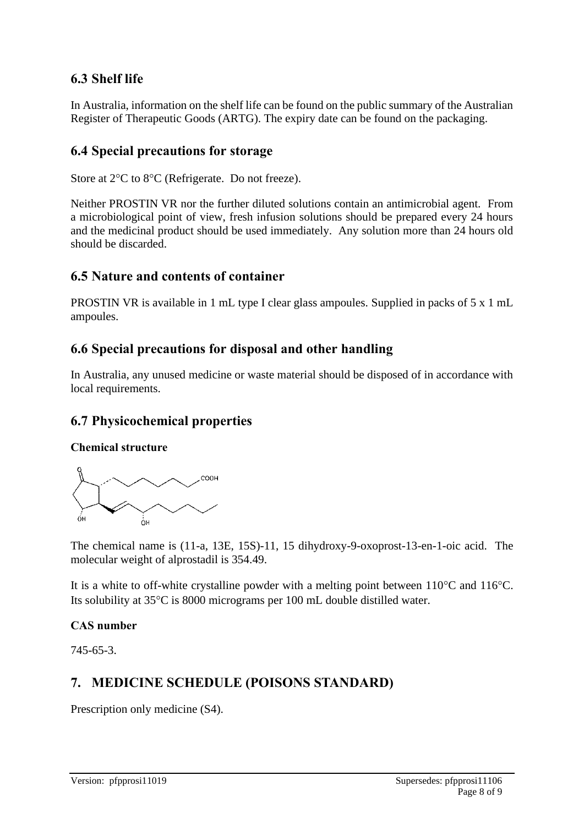# **6.3 Shelf life**

In Australia, information on the shelf life can be found on the public summary of the Australian Register of Therapeutic Goods (ARTG). The expiry date can be found on the packaging.

### **6.4 Special precautions for storage**

Store at  $2^{\circ}$ C to  $8^{\circ}$ C (Refrigerate. Do not freeze).

Neither PROSTIN VR nor the further diluted solutions contain an antimicrobial agent. From a microbiological point of view, fresh infusion solutions should be prepared every 24 hours and the medicinal product should be used immediately. Any solution more than 24 hours old should be discarded.

### **6.5 Nature and contents of container**

PROSTIN VR is available in 1 mL type I clear glass ampoules. Supplied in packs of 5 x 1 mL ampoules.

### **6.6 Special precautions for disposal and other handling**

In Australia, any unused medicine or waste material should be disposed of in accordance with local requirements.

### **6.7 Physicochemical properties**

#### **Chemical structure**



The chemical name is (11-a, 13E, 15S)-11, 15 dihydroxy-9-oxoprost-13-en-1-oic acid. The molecular weight of alprostadil is 354.49.

It is a white to off-white crystalline powder with a melting point between  $110^{\circ}$ C and  $116^{\circ}$ C. Its solubility at  $35^{\circ}$ C is 8000 micrograms per 100 mL double distilled water.

#### **CAS number**

745-65-3.

# **7. MEDICINE SCHEDULE (POISONS STANDARD)**

Prescription only medicine (S4).